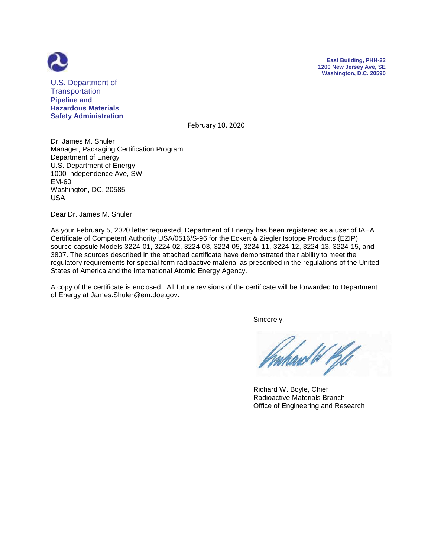



U.S. Department of **Transportation Pipeline and Hazardous Materials Safety Administration**

February 10, 2020

Dr. James M. Shuler Manager, Packaging Certification Program Department of Energy U.S. Department of Energy 1000 Independence Ave, SW EM-60 Washington, DC, 20585 USA

Dear Dr. James M. Shuler,

As your February 5, 2020 letter requested, Department of Energy has been registered as a user of IAEA Certificate of Competent Authority USA/0516/S-96 for the Eckert & Ziegler Isotope Products (EZIP) source capsule Models 3224-01, 3224-02, 3224-03, 3224-05, 3224-11, 3224-12, 3224-13, 3224-15, and 3807. The sources described in the attached certificate have demonstrated their ability to meet the regulatory requirements for special form radioactive material as prescribed in the regulations of the United States of America and the International Atomic Energy Agency.

A copy of the certificate is enclosed. All future revisions of the certificate will be forwarded to Department of Energy at James.Shuler@em.doe.gov.

Sincerely,

 Richard W. Boyle, Chief Radioactive Materials Branch Office of Engineering and Research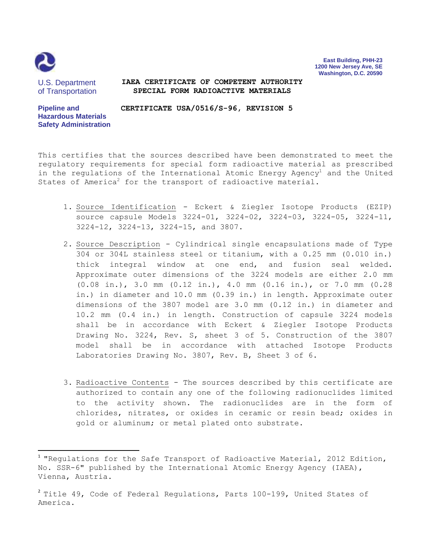

 $\overline{\phantom{a}}$ 

**East Building, PHH-23 1200 New Jersey Ave, SE Washington, D.C. 20590**

U.S. Department of Transportation

#### **IAEA CERTIFICATE OF COMPETENT AUTHORITY SPECIAL FORM RADIOACTIVE MATERIALS**

**Pipeline and Hazardous Materials Safety Administration CERTIFICATE USA/0516/S-96, REVISION 5**

This certifies that the sources described have been demonstrated to meet the regulatory requirements for special form radioactive material as prescribed in the regulations of the International Atomic Energy Agency<sup>1</sup> and the United States of America<sup>2</sup> for the transport of radioactive material.

- 1. Source Identification Eckert & Ziegler Isotope Products (EZIP) source capsule Models 3224-01, 3224-02, 3224-03, 3224-05, 3224-11, 3224-12, 3224-13, 3224-15, and 3807.
- 2. Source Description Cylindrical single encapsulations made of Type 304 or 304L stainless steel or titanium, with a 0.25 mm (0.010 in.) thick integral window at one end, and fusion seal welded. Approximate outer dimensions of the 3224 models are either 2.0 mm (0.08 in.), 3.0 mm (0.12 in.), 4.0 mm (0.16 in.), or 7.0 mm (0.28 in.) in diameter and 10.0 mm (0.39 in.) in length. Approximate outer dimensions of the 3807 model are 3.0 mm (0.12 in.) in diameter and 10.2 mm (0.4 in.) in length. Construction of capsule 3224 models shall be in accordance with Eckert & Ziegler Isotope Products Drawing No. 3224, Rev. S, sheet 3 of 5. Construction of the 3807 model shall be in accordance with attached Isotope Products Laboratories Drawing No. 3807, Rev. B, Sheet 3 of 6.
- 3. Radioactive Contents The sources described by this certificate are authorized to contain any one of the following radionuclides limited to the activity shown. The radionuclides are in the form of chlorides, nitrates, or oxides in ceramic or resin bead; oxides in gold or aluminum; or metal plated onto substrate.

 $^1$  "Regulations for the Safe Transport of Radioactive Material, 2012 Edition, No. SSR-6" published by the International Atomic Energy Agency (IAEA), Vienna, Austria.

 $^2$  Title 49, Code of Federal Regulations, Parts 100-199, United States of America.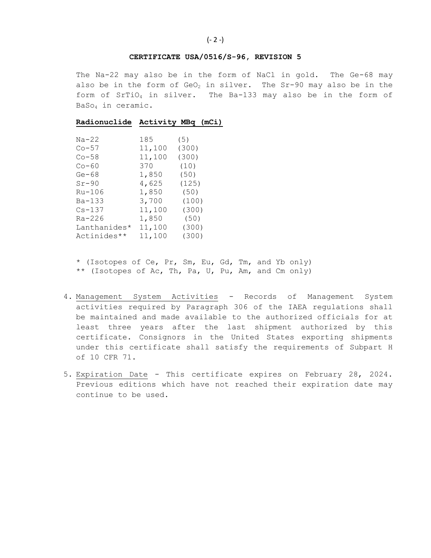### **CERTIFICATE USA/0516/S-96, REVISION 5**

The Na-22 may also be in the form of NaCl in gold. The Ge-68 may also be in the form of  $GeO<sub>2</sub>$  in silver. The Sr-90 may also be in the form of SrTiO<sup>4</sup> in silver. The Ba-133 may also be in the form of BaSo<sup>4</sup> in ceramic.

# **Radionuclide Activity MBq (mCi)**

| $Na-22$      | 185    | (5)   |
|--------------|--------|-------|
| $Co-57$      | 11,100 | (300) |
| $Co-58$      | 11,100 | (300) |
| $Co-60$      | 370    | (10)  |
| $Ge-68$      | 1,850  | (50)  |
| $Sr-90$      | 4,625  | (125) |
| Ru-106       | 1,850  | (50)  |
| $Ba - 133$   | 3,700  | (100) |
| $Cs - 137$   | 11,100 | (300) |
| $Ra - 226$   | 1,850  | (50)  |
| Lanthanides* | 11,100 | (300) |
| Actinides**  | 11,100 | (300) |

\* (Isotopes of Ce, Pr, Sm, Eu, Gd, Tm, and Yb only) \*\* (Isotopes of Ac, Th, Pa, U, Pu, Am, and Cm only)

- 4. Management System Activities Records of Management System activities required by Paragraph 306 of the IAEA regulations shall be maintained and made available to the authorized officials for at least three years after the last shipment authorized by this certificate. Consignors in the United States exporting shipments under this certificate shall satisfy the requirements of Subpart H of 10 CFR 71.
- 5. Expiration Date This certificate expires on February 28, 2024. Previous editions which have not reached their expiration date may continue to be used.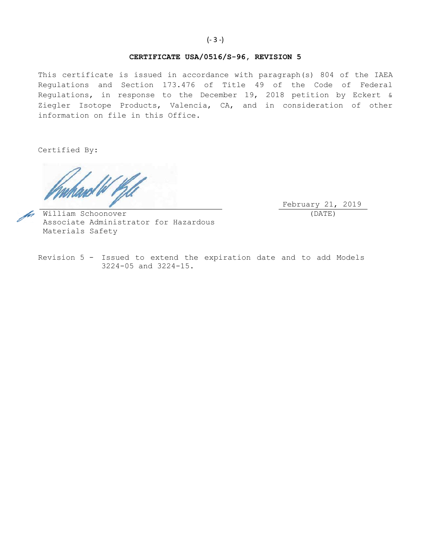# **CERTIFICATE USA/0516/S-96, REVISION 5**

This certificate is issued in accordance with paragraph(s) 804 of the IAEA Regulations and Section 173.476 of Title 49 of the Code of Federal Regulations, in response to the December 19, 2018 petition by Eckert & Ziegler Isotope Products, Valencia, CA, and in consideration of other information on file in this Office.

Certified By:

February 21, 2019 (DATE)

William Schoonover Associate Administrator for Hazardous Materials Safety

Revision 5 - Issued to extend the expiration date and to add Models 3224-05 and 3224-15.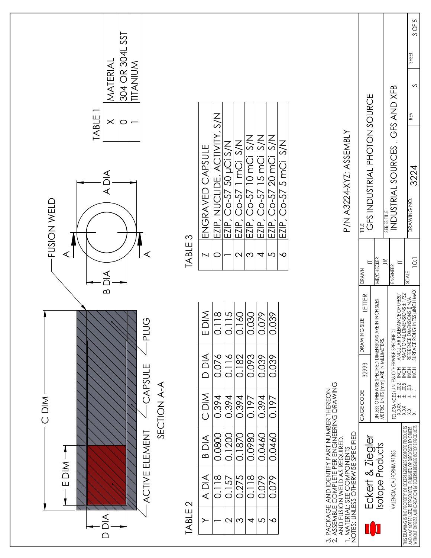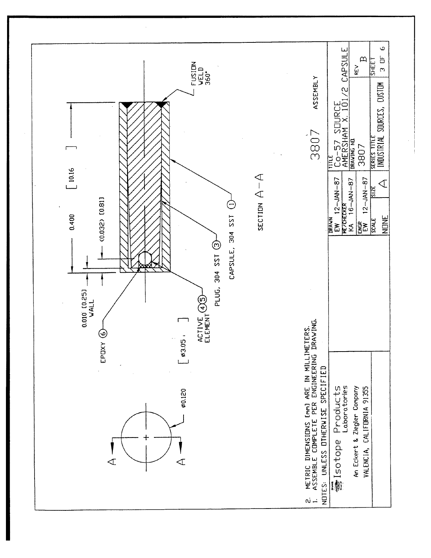